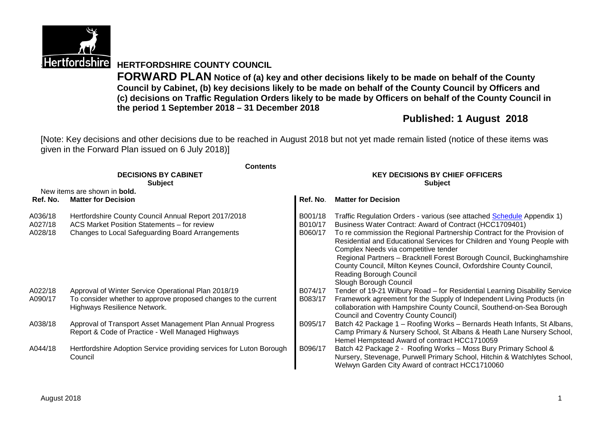

# **Hertfordshire HERTFORDSHIRE COUNTY COUNCIL**

**FORWARD PLAN Notice of (a) key and other decisions likely to be made on behalf of the County Council by Cabinet, (b) key decisions likely to be made on behalf of the County Council by Officers and (c) decisions on Traffic Regulation Orders likely to be made by Officers on behalf of the County Council in the period 1 September 2018 – 31 December 2018**

# **Published: 1 August 2018**

[Note: Key decisions and other decisions due to be reached in August 2018 but not yet made remain listed (notice of these items was given in the Forward Plan issued on 6 July 2018)]

| <b>Contents</b>                                                                |                                                                                                                                                                                                                                                                                                                                            |                                                                                                                                                                                                |  |  |  |
|--------------------------------------------------------------------------------|--------------------------------------------------------------------------------------------------------------------------------------------------------------------------------------------------------------------------------------------------------------------------------------------------------------------------------------------|------------------------------------------------------------------------------------------------------------------------------------------------------------------------------------------------|--|--|--|
| <b>DECISIONS BY CABINET</b>                                                    | <b>KEY DECISIONS BY CHIEF OFFICERS</b>                                                                                                                                                                                                                                                                                                     |                                                                                                                                                                                                |  |  |  |
|                                                                                | <b>Subject</b>                                                                                                                                                                                                                                                                                                                             |                                                                                                                                                                                                |  |  |  |
|                                                                                |                                                                                                                                                                                                                                                                                                                                            |                                                                                                                                                                                                |  |  |  |
|                                                                                |                                                                                                                                                                                                                                                                                                                                            | <b>Matter for Decision</b>                                                                                                                                                                     |  |  |  |
| Hertfordshire County Council Annual Report 2017/2018                           | B001/18                                                                                                                                                                                                                                                                                                                                    | Traffic Regulation Orders - various (see attached Schedule Appendix 1)                                                                                                                         |  |  |  |
|                                                                                |                                                                                                                                                                                                                                                                                                                                            | Business Water Contract: Award of Contract (HCC1709401)                                                                                                                                        |  |  |  |
|                                                                                |                                                                                                                                                                                                                                                                                                                                            | To re commission the Regional Partnership Contract for the Provision of<br>Residential and Educational Services for Children and Young People with<br>Complex Needs via competitive tender     |  |  |  |
|                                                                                |                                                                                                                                                                                                                                                                                                                                            | Regional Partners - Bracknell Forest Borough Council, Buckinghamshire<br>County Council, Milton Keynes Council, Oxfordshire County Council,                                                    |  |  |  |
|                                                                                |                                                                                                                                                                                                                                                                                                                                            | Reading Borough Council                                                                                                                                                                        |  |  |  |
|                                                                                |                                                                                                                                                                                                                                                                                                                                            | Slough Borough Council                                                                                                                                                                         |  |  |  |
| Approval of Winter Service Operational Plan 2018/19                            | B074/17                                                                                                                                                                                                                                                                                                                                    | Tender of 19-21 Wilbury Road - for Residential Learning Disability Service                                                                                                                     |  |  |  |
| To consider whether to approve proposed changes to the current                 | B083/17                                                                                                                                                                                                                                                                                                                                    | Framework agreement for the Supply of Independent Living Products (in                                                                                                                          |  |  |  |
|                                                                                |                                                                                                                                                                                                                                                                                                                                            | collaboration with Hampshire County Council, Southend-on-Sea Borough                                                                                                                           |  |  |  |
|                                                                                |                                                                                                                                                                                                                                                                                                                                            | Council and Coventry County Council)                                                                                                                                                           |  |  |  |
|                                                                                |                                                                                                                                                                                                                                                                                                                                            | Batch 42 Package 1 - Roofing Works - Bernards Heath Infants, St Albans,                                                                                                                        |  |  |  |
|                                                                                |                                                                                                                                                                                                                                                                                                                                            | Camp Primary & Nursery School, St Albans & Heath Lane Nursery School,<br>Hemel Hempstead Award of contract HCC1710059                                                                          |  |  |  |
| Hertfordshire Adoption Service providing services for Luton Borough<br>Council | B096/17                                                                                                                                                                                                                                                                                                                                    | Batch 42 Package 2 - Roofing Works - Moss Bury Primary School &<br>Nursery, Stevenage, Purwell Primary School, Hitchin & Watchlytes School,<br>Welwyn Garden City Award of contract HCC1710060 |  |  |  |
|                                                                                | <b>Subject</b><br>New items are shown in <b>bold.</b><br><b>Matter for Decision</b><br>ACS Market Position Statements - for review<br>Changes to Local Safeguarding Board Arrangements<br>Highways Resilience Network.<br>Approval of Transport Asset Management Plan Annual Progress<br>Report & Code of Practice - Well Managed Highways | Ref. No.<br>B010/17<br>B060/17<br>B095/17                                                                                                                                                      |  |  |  |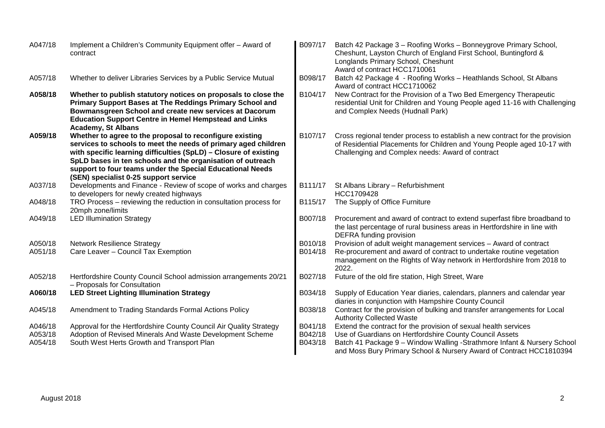| A047/18 | Implement a Children's Community Equipment offer - Award of<br>contract                                                                                                                                                                                                                                                                                            | B097/17 | Batch 42 Package 3 - Roofing Works - Bonneygrove Primary School,<br>Cheshunt, Layston Church of England First School, Buntingford &<br>Longlands Primary School, Cheshunt<br>Award of contract HCC1710061  |
|---------|--------------------------------------------------------------------------------------------------------------------------------------------------------------------------------------------------------------------------------------------------------------------------------------------------------------------------------------------------------------------|---------|------------------------------------------------------------------------------------------------------------------------------------------------------------------------------------------------------------|
| A057/18 | Whether to deliver Libraries Services by a Public Service Mutual                                                                                                                                                                                                                                                                                                   | B098/17 | Batch 42 Package 4 - Roofing Works - Heathlands School, St Albans<br>Award of contract HCC1710062                                                                                                          |
| A058/18 | Whether to publish statutory notices on proposals to close the<br>Primary Support Bases at The Reddings Primary School and<br>Bowmansgreen School and create new services at Dacorum<br><b>Education Support Centre in Hemel Hempstead and Links</b><br><b>Academy, St Albans</b>                                                                                  | B104/17 | New Contract for the Provision of a Two Bed Emergency Therapeutic<br>residential Unit for Children and Young People aged 11-16 with Challenging<br>and Complex Needs (Hudnall Park)                        |
| A059/18 | Whether to agree to the proposal to reconfigure existing<br>services to schools to meet the needs of primary aged children<br>with specific learning difficulties (SpLD) - Closure of existing<br>SpLD bases in ten schools and the organisation of outreach<br>support to four teams under the Special Educational Needs<br>(SEN) specialist 0-25 support service | B107/17 | Cross regional tender process to establish a new contract for the provision<br>of Residential Placements for Children and Young People aged 10-17 with<br>Challenging and Complex needs: Award of contract |
| A037/18 | Developments and Finance - Review of scope of works and charges<br>to developers for newly created highways                                                                                                                                                                                                                                                        | B111/17 | St Albans Library - Refurbishment<br>HCC1709428                                                                                                                                                            |
| A048/18 | TRO Process - reviewing the reduction in consultation process for<br>20mph zone/limits                                                                                                                                                                                                                                                                             | B115/17 | The Supply of Office Furniture                                                                                                                                                                             |
| A049/18 | <b>LED Illumination Strategy</b>                                                                                                                                                                                                                                                                                                                                   | B007/18 | Procurement and award of contract to extend superfast fibre broadband to<br>the last percentage of rural business areas in Hertfordshire in line with<br>DEFRA funding provision                           |
| A050/18 | <b>Network Resilience Strategy</b>                                                                                                                                                                                                                                                                                                                                 | B010/18 | Provision of adult weight management services - Award of contract                                                                                                                                          |
| A051/18 | Care Leaver - Council Tax Exemption                                                                                                                                                                                                                                                                                                                                | B014/18 | Re-procurement and award of contract to undertake routine vegetation<br>management on the Rights of Way network in Hertfordshire from 2018 to<br>2022.                                                     |
| A052/18 | Hertfordshire County Council School admission arrangements 20/21<br>- Proposals for Consultation                                                                                                                                                                                                                                                                   | B027/18 | Future of the old fire station, High Street, Ware                                                                                                                                                          |
| A060/18 | <b>LED Street Lighting Illumination Strategy</b>                                                                                                                                                                                                                                                                                                                   | B034/18 | Supply of Education Year diaries, calendars, planners and calendar year<br>diaries in conjunction with Hampshire County Council                                                                            |
| A045/18 | Amendment to Trading Standards Formal Actions Policy                                                                                                                                                                                                                                                                                                               | B038/18 | Contract for the provision of bulking and transfer arrangements for Local<br><b>Authority Collected Waste</b>                                                                                              |
| A046/18 | Approval for the Hertfordshire County Council Air Quality Strategy                                                                                                                                                                                                                                                                                                 | B041/18 | Extend the contract for the provision of sexual health services                                                                                                                                            |
| A053/18 | Adoption of Revised Minerals And Waste Development Scheme                                                                                                                                                                                                                                                                                                          | B042/18 | Use of Guardians on Hertfordshire County Council Assets                                                                                                                                                    |
| A054/18 | South West Herts Growth and Transport Plan                                                                                                                                                                                                                                                                                                                         | B043/18 | Batch 41 Package 9 - Window Walling -Strathmore Infant & Nursery School<br>and Moss Bury Primary School & Nursery Award of Contract HCC1810394                                                             |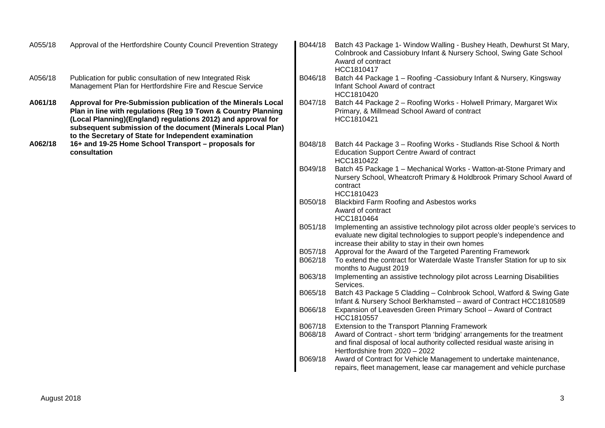| A055/18 | Approval of the Hertfordshire County Council Prevention Strategy                                                                                                                                                                                                                                                       | B044/18            | Batch 43 Package 1- Window Walling - Bushey Heath, Dewhurst St Mary,<br>Colnbrook and Cassiobury Infant & Nursery School, Swing Gate School<br>Award of contract<br>HCC1810417                                                           |
|---------|------------------------------------------------------------------------------------------------------------------------------------------------------------------------------------------------------------------------------------------------------------------------------------------------------------------------|--------------------|------------------------------------------------------------------------------------------------------------------------------------------------------------------------------------------------------------------------------------------|
| A056/18 | Publication for public consultation of new Integrated Risk<br>Management Plan for Hertfordshire Fire and Rescue Service                                                                                                                                                                                                | B046/18            | Batch 44 Package 1 - Roofing - Cassiobury Infant & Nursery, Kingsway<br>Infant School Award of contract<br>HCC1810420                                                                                                                    |
| A061/18 | Approval for Pre-Submission publication of the Minerals Local<br>Plan in line with regulations (Reg 19 Town & Country Planning<br>(Local Planning)(England) regulations 2012) and approval for<br>subsequent submission of the document (Minerals Local Plan)<br>to the Secretary of State for Independent examination | B047/18            | Batch 44 Package 2 - Roofing Works - Holwell Primary, Margaret Wix<br>Primary, & Millmead School Award of contract<br>HCC1810421                                                                                                         |
| A062/18 | 16+ and 19-25 Home School Transport - proposals for<br>consultation                                                                                                                                                                                                                                                    | B048/18            | Batch 44 Package 3 - Roofing Works - Studlands Rise School & North<br><b>Education Support Centre Award of contract</b><br>HCC1810422                                                                                                    |
|         |                                                                                                                                                                                                                                                                                                                        | B049/18            | Batch 45 Package 1 - Mechanical Works - Watton-at-Stone Primary and<br>Nursery School, Wheatcroft Primary & Holdbrook Primary School Award of<br>contract<br>HCC1810423                                                                  |
|         |                                                                                                                                                                                                                                                                                                                        | B050/18            | Blackbird Farm Roofing and Asbestos works<br>Award of contract<br>HCC1810464                                                                                                                                                             |
|         |                                                                                                                                                                                                                                                                                                                        | B051/18            | Implementing an assistive technology pilot across older people's services to<br>evaluate new digital technologies to support people's independence and<br>increase their ability to stay in their own homes                              |
|         |                                                                                                                                                                                                                                                                                                                        | B057/18<br>B062/18 | Approval for the Award of the Targeted Parenting Framework<br>To extend the contract for Waterdale Waste Transfer Station for up to six<br>months to August 2019                                                                         |
|         |                                                                                                                                                                                                                                                                                                                        | B063/18            | Implementing an assistive technology pilot across Learning Disabilities<br>Services.                                                                                                                                                     |
|         |                                                                                                                                                                                                                                                                                                                        | B065/18            | Batch 43 Package 5 Cladding - Colnbrook School, Watford & Swing Gate<br>Infant & Nursery School Berkhamsted - award of Contract HCC1810589                                                                                               |
|         |                                                                                                                                                                                                                                                                                                                        | B066/18            | Expansion of Leavesden Green Primary School - Award of Contract<br>HCC1810557                                                                                                                                                            |
|         |                                                                                                                                                                                                                                                                                                                        | B067/18<br>B068/18 | Extension to the Transport Planning Framework<br>Award of Contract - short term 'bridging' arrangements for the treatment<br>and final disposal of local authority collected residual waste arising in<br>Hertfordshire from 2020 - 2022 |
|         |                                                                                                                                                                                                                                                                                                                        | B069/18            | Award of Contract for Vehicle Management to undertake maintenance,<br>repairs, fleet management, lease car management and vehicle purchase                                                                                               |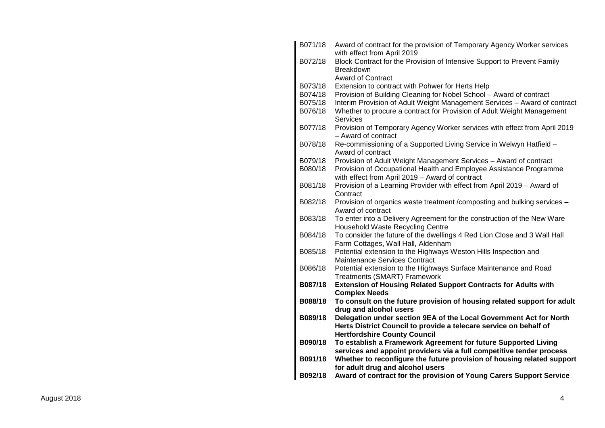| B071/18 | Award of contract for the provision of Temporary Agency Worker services<br>with effect from April 2019     |
|---------|------------------------------------------------------------------------------------------------------------|
| B072/18 | Block Contract for the Provision of Intensive Support to Prevent Family                                    |
|         | <b>Breakdown</b>                                                                                           |
|         | <b>Award of Contract</b>                                                                                   |
| B073/18 | Extension to contract with Pohwer for Herts Help                                                           |
| B074/18 | Provision of Building Cleaning for Nobel School - Award of contract                                        |
| B075/18 | Interim Provision of Adult Weight Management Services - Award of contract                                  |
| B076/18 | Whether to procure a contract for Provision of Adult Weight Management                                     |
|         | <b>Services</b>                                                                                            |
| B077/18 | Provision of Temporary Agency Worker services with effect from April 2019<br>- Award of contract           |
| B078/18 | Re-commissioning of a Supported Living Service in Welwyn Hatfield -<br>Award of contract                   |
| B079/18 | Provision of Adult Weight Management Services - Award of contract                                          |
| B080/18 | Provision of Occupational Health and Employee Assistance Programme                                         |
|         | with effect from April 2019 - Award of contract                                                            |
| B081/18 | Provision of a Learning Provider with effect from April 2019 - Award of<br>Contract                        |
| B082/18 | Provision of organics waste treatment / composting and bulking services -                                  |
|         | Award of contract                                                                                          |
| B083/18 | To enter into a Delivery Agreement for the construction of the New Ware                                    |
|         | Household Waste Recycling Centre                                                                           |
| B084/18 | To consider the future of the dwellings 4 Red Lion Close and 3 Wall Hall                                   |
|         | Farm Cottages, Wall Hall, Aldenham                                                                         |
| B085/18 | Potential extension to the Highways Weston Hills Inspection and<br>Maintenance Services Contract           |
| B086/18 | Potential extension to the Highways Surface Maintenance and Road                                           |
|         | <b>Treatments (SMART) Framework</b>                                                                        |
| B087/18 | <b>Extension of Housing Related Support Contracts for Adults with</b>                                      |
|         | <b>Complex Needs</b>                                                                                       |
| B088/18 | To consult on the future provision of housing related support for adult                                    |
|         | drug and alcohol users                                                                                     |
| B089/18 | Delegation under section 9EA of the Local Government Act for North                                         |
|         | Herts District Council to provide a telecare service on behalf of                                          |
|         | <b>Hertfordshire County Council</b>                                                                        |
| B090/18 | To establish a Framework Agreement for future Supported Living                                             |
| B091/18 | services and appoint providers via a full competitive tender process                                       |
|         | Whether to reconfigure the future provision of housing related support<br>for adult drug and alcohol users |
| B092/18 | Award of contract for the provision of Young Carers Support Service                                        |
|         |                                                                                                            |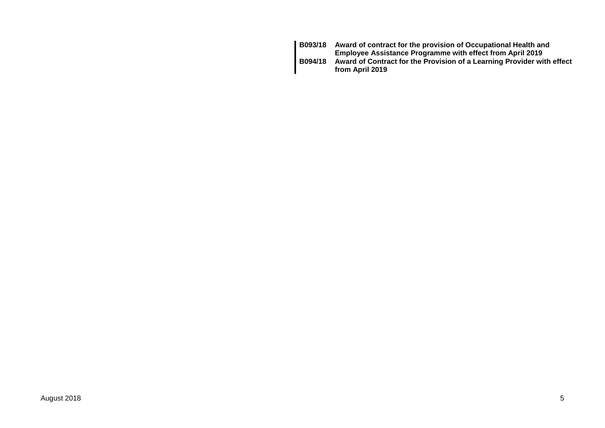| <b>B093/18</b> | Award of contract for the provision of Occupational Health and<br><b>Employee Assistance Programme with effect from April 2019</b> |
|----------------|------------------------------------------------------------------------------------------------------------------------------------|
| <b>B094/18</b> | Award of Contract for the Provision of a Learning Provider with effect<br>from April 2019                                          |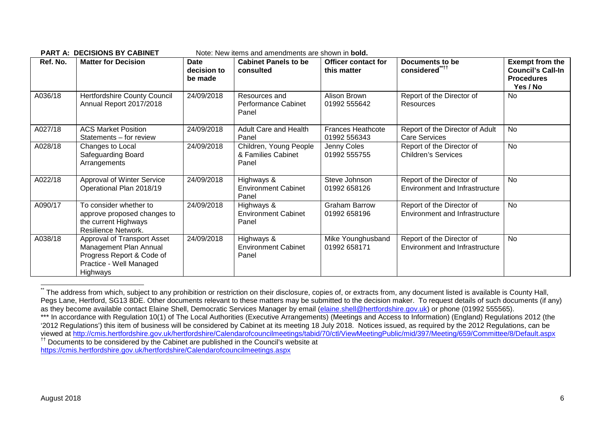|          | <b>PART A: DECISIONS BY CABINET</b>                                                                                       |                                       | Note: New items and amendments are shown in <b>bold.</b> |                                           |                                                                    |                                                                                     |
|----------|---------------------------------------------------------------------------------------------------------------------------|---------------------------------------|----------------------------------------------------------|-------------------------------------------|--------------------------------------------------------------------|-------------------------------------------------------------------------------------|
| Ref. No. | <b>Matter for Decision</b>                                                                                                | <b>Date</b><br>decision to<br>be made | <b>Cabinet Panels to be</b><br>consulted                 | <b>Officer contact for</b><br>this matter | Documents to be<br>considered" <sup>††</sup>                       | <b>Exempt from the</b><br><b>Council's Call-In</b><br><b>Procedures</b><br>Yes / No |
| A036/18  | <b>Hertfordshire County Council</b><br>Annual Report 2017/2018                                                            | 24/09/2018                            | Resources and<br>Performance Cabinet<br>Panel            | Alison Brown<br>01992 555642              | Report of the Director of<br>Resources                             | <b>No</b>                                                                           |
| A027/18  | <b>ACS Market Position</b><br>Statements – for review                                                                     | 24/09/2018                            | Adult Care and Health<br>Panel                           | <b>Frances Heathcote</b><br>01992 556343  | Report of the Director of Adult<br><b>Care Services</b>            | <b>No</b>                                                                           |
| A028/18  | Changes to Local<br>Safeguarding Board<br>Arrangements                                                                    | 24/09/2018                            | Children, Young People<br>& Families Cabinet<br>Panel    | Jenny Coles<br>01992 555755               | Report of the Director of<br><b>Children's Services</b>            | <b>No</b>                                                                           |
| A022/18  | Approval of Winter Service<br>Operational Plan 2018/19                                                                    | 24/09/2018                            | Highways &<br><b>Environment Cabinet</b><br>Panel        | Steve Johnson<br>01992 658126             | Report of the Director of<br>Environment and Infrastructure        | <b>No</b>                                                                           |
| A090/17  | To consider whether to<br>approve proposed changes to<br>the current Highways<br>Resilience Network.                      | 24/09/2018                            | Highways &<br><b>Environment Cabinet</b><br>Panel        | <b>Graham Barrow</b><br>01992 658196      | Report of the Director of<br><b>Environment and Infrastructure</b> | <b>No</b>                                                                           |
| A038/18  | Approval of Transport Asset<br>Management Plan Annual<br>Progress Report & Code of<br>Practice - Well Managed<br>Highways | 24/09/2018                            | Highways &<br><b>Environment Cabinet</b><br>Panel        | Mike Younghusband<br>01992 658171         | Report of the Director of<br>Environment and Infrastructure        | No                                                                                  |

<sup>\*</sup> The address from which, subject to any prohibition or restriction on their disclosure, copies of, or extracts from, any document listed is available is County Hall, Pegs Lane, Hertford, SG13 8DE. Other documents relevant to these matters may be submitted to the decision maker. To request details of such documents (if any) as they become available contact Elaine Shell, Democratic Services Manager by email (elaine.shell@hertfordshire.gov.uk) or phone (01992 555565). \*\*\* In accordance with Regulation 10(1) of The Local Authorities (Executive Arrangements) (Meetings and Access to Information) (England) Regulations 2012 (the '2012 Regulations') this item of business will be considered by Cabinet at its meeting 18 July 2018. Notices issued, as required by the 2012 Regulations, can be viewed at http://cmis.hertfordshire.gov.uk/hertfordshire/Calendarofcouncilmeetings/tabid/70/ctl/ViewMeetingPublic/mid/397/Meeting/659/Committee/8/Default.aspx †† Documents to be considered by the Cabinet are published in the Council's website at https://cmis.hertfordshire.gov.uk/hertfordshire/Calendarofcouncilmeetings.aspx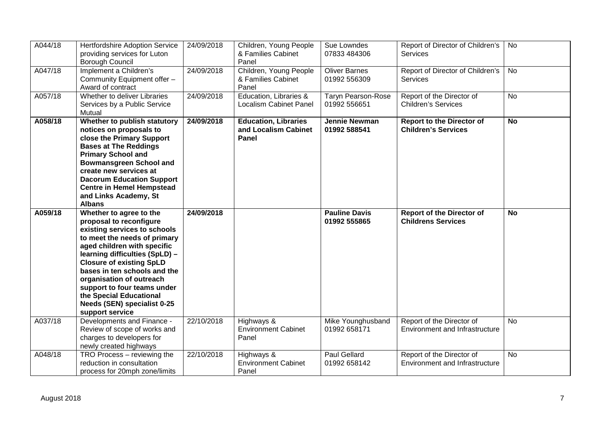| A044/18 | Hertfordshire Adoption Service<br>providing services for Luton<br>Borough Council                                                                                                                                                                                                                                               | 24/09/2018 | Children, Young People<br>& Families Cabinet<br>Panel        | Sue Lowndes<br>07833 484306               | Report of Director of Children's<br><b>Services</b>                | No        |
|---------|---------------------------------------------------------------------------------------------------------------------------------------------------------------------------------------------------------------------------------------------------------------------------------------------------------------------------------|------------|--------------------------------------------------------------|-------------------------------------------|--------------------------------------------------------------------|-----------|
| A047/18 | Implement a Children's<br>Community Equipment offer -<br>Award of contract                                                                                                                                                                                                                                                      | 24/09/2018 | Children, Young People<br>& Families Cabinet<br>Panel        | <b>Oliver Barnes</b><br>01992 556309      | Report of Director of Children's<br><b>Services</b>                | <b>No</b> |
| A057/18 | Whether to deliver Libraries<br>Services by a Public Service<br>Mutual                                                                                                                                                                                                                                                          | 24/09/2018 | Education, Libraries &<br><b>Localism Cabinet Panel</b>      | <b>Taryn Pearson-Rose</b><br>01992 556651 | Report of the Director of<br><b>Children's Services</b>            | <b>No</b> |
| A058/18 | Whether to publish statutory<br>notices on proposals to<br>close the Primary Support<br><b>Bases at The Reddings</b><br><b>Primary School and</b><br><b>Bowmansgreen School and</b><br>create new services at<br><b>Dacorum Education Support</b><br><b>Centre in Hemel Hempstead</b><br>and Links Academy, St<br><b>Albans</b> | 24/09/2018 | <b>Education, Libraries</b><br>and Localism Cabinet<br>Panel | <b>Jennie Newman</b><br>01992 588541      | <b>Report to the Director of</b><br><b>Children's Services</b>     | <b>No</b> |
| A059/18 | Whether to agree to the<br>proposal to reconfigure<br>existing services to schools<br>to meet the needs of primary<br>aged children with specific<br>learning difficulties (SpLD) -<br><b>Closure of existing SpLD</b><br>bases in ten schools and the                                                                          | 24/09/2018 |                                                              | <b>Pauline Davis</b><br>01992 555865      | <b>Report of the Director of</b><br><b>Childrens Services</b>      | <b>No</b> |
|         | organisation of outreach<br>support to four teams under<br>the Special Educational<br>Needs (SEN) specialist 0-25                                                                                                                                                                                                               |            |                                                              |                                           |                                                                    |           |
| A037/18 | support service<br>Developments and Finance -<br>Review of scope of works and<br>charges to developers for<br>newly created highways                                                                                                                                                                                            | 22/10/2018 | Highways &<br><b>Environment Cabinet</b><br>Panel            | Mike Younghusband<br>01992 658171         | Report of the Director of<br><b>Environment and Infrastructure</b> | <b>No</b> |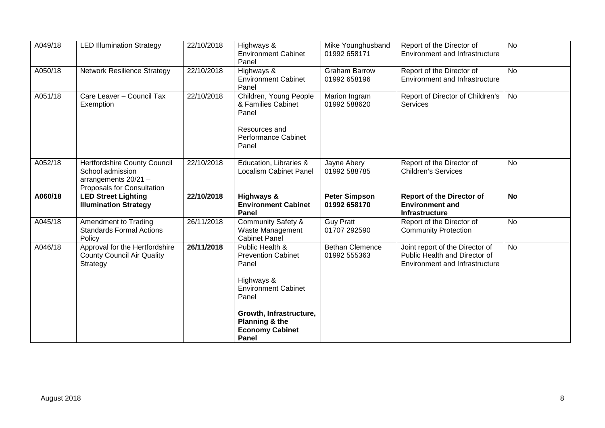| A049/18 | <b>LED Illumination Strategy</b>                                                                       | 22/10/2018 | Highways &<br><b>Environment Cabinet</b><br>Panel                                                             | Mike Younghusband<br>01992 658171      | Report of the Director of<br>Environment and Infrastructure                                        | <b>No</b> |
|---------|--------------------------------------------------------------------------------------------------------|------------|---------------------------------------------------------------------------------------------------------------|----------------------------------------|----------------------------------------------------------------------------------------------------|-----------|
| A050/18 | <b>Network Resilience Strategy</b>                                                                     | 22/10/2018 | Highways &<br><b>Environment Cabinet</b><br>Panel                                                             | <b>Graham Barrow</b><br>01992 658196   | Report of the Director of<br>Environment and Infrastructure                                        | <b>No</b> |
| A051/18 | Care Leaver - Council Tax<br>Exemption                                                                 | 22/10/2018 | Children, Young People<br>& Families Cabinet<br>Panel<br>Resources and<br><b>Performance Cabinet</b><br>Panel | Marion Ingram<br>01992 588620          | Report of Director of Children's<br>Services                                                       | No        |
| A052/18 | Hertfordshire County Council<br>School admission<br>arrangements 20/21 -<br>Proposals for Consultation | 22/10/2018 | Education, Libraries &<br><b>Localism Cabinet Panel</b>                                                       | Jayne Abery<br>01992 588785            | Report of the Director of<br><b>Children's Services</b>                                            | No        |
|         |                                                                                                        |            |                                                                                                               |                                        |                                                                                                    |           |
| A060/18 | <b>LED Street Lighting</b><br><b>Illumination Strategy</b>                                             | 22/10/2018 | Highways &<br><b>Environment Cabinet</b><br>Panel                                                             | <b>Peter Simpson</b><br>01992 658170   | <b>Report of the Director of</b><br><b>Environment and</b><br><b>Infrastructure</b>                | <b>No</b> |
| A045/18 | Amendment to Trading<br><b>Standards Formal Actions</b><br>Policy                                      | 26/11/2018 | <b>Community Safety &amp;</b><br>Waste Management<br><b>Cabinet Panel</b>                                     | <b>Guy Pratt</b><br>01707 292590       | Report of the Director of<br><b>Community Protection</b>                                           | <b>No</b> |
| A046/18 | Approval for the Hertfordshire<br><b>County Council Air Quality</b><br>Strategy                        | 26/11/2018 | Public Health &<br><b>Prevention Cabinet</b><br>Panel<br>Highways &<br><b>Environment Cabinet</b><br>Panel    | <b>Bethan Clemence</b><br>01992 555363 | Joint report of the Director of<br>Public Health and Director of<br>Environment and Infrastructure | <b>No</b> |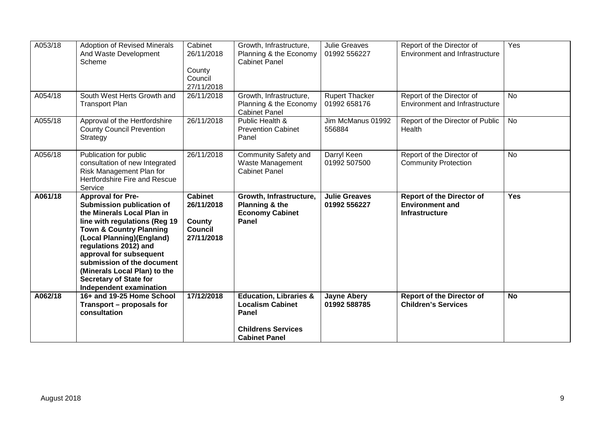| A053/18 | <b>Adoption of Revised Minerals</b><br>And Waste Development<br>Scheme                                                                                                                                                                                                                                                                                                              | Cabinet<br>26/11/2018<br>County<br>Council<br>27/11/2018        | Growth, Infrastructure,<br>Planning & the Economy<br><b>Cabinet Panel</b>    | <b>Julie Greaves</b><br>01992 556227  | Report of the Director of<br><b>Environment and Infrastructure</b>                  | Yes        |
|---------|-------------------------------------------------------------------------------------------------------------------------------------------------------------------------------------------------------------------------------------------------------------------------------------------------------------------------------------------------------------------------------------|-----------------------------------------------------------------|------------------------------------------------------------------------------|---------------------------------------|-------------------------------------------------------------------------------------|------------|
| A054/18 | South West Herts Growth and<br><b>Transport Plan</b>                                                                                                                                                                                                                                                                                                                                | 26/11/2018                                                      | Growth, Infrastructure,<br>Planning & the Economy<br><b>Cabinet Panel</b>    | <b>Rupert Thacker</b><br>01992 658176 | Report of the Director of<br><b>Environment and Infrastructure</b>                  | <b>No</b>  |
| A055/18 | Approval of the Hertfordshire<br><b>County Council Prevention</b><br>Strategy                                                                                                                                                                                                                                                                                                       | 26/11/2018                                                      | Public Health &<br><b>Prevention Cabinet</b><br>Panel                        | Jim McManus 01992<br>556884           | Report of the Director of Public<br>Health                                          | No         |
| A056/18 | Publication for public<br>consultation of new Integrated<br>Risk Management Plan for<br>Hertfordshire Fire and Rescue<br>Service                                                                                                                                                                                                                                                    | 26/11/2018                                                      | Community Safety and<br>Waste Management<br><b>Cabinet Panel</b>             | Darryl Keen<br>01992 507500           | Report of the Director of<br><b>Community Protection</b>                            | No         |
|         |                                                                                                                                                                                                                                                                                                                                                                                     |                                                                 |                                                                              |                                       |                                                                                     |            |
| A061/18 | <b>Approval for Pre-</b><br><b>Submission publication of</b><br>the Minerals Local Plan in<br>line with regulations (Reg 19<br><b>Town &amp; Country Planning</b><br>(Local Planning)(England)<br>regulations 2012) and<br>approval for subsequent<br>submission of the document<br>(Minerals Local Plan) to the<br><b>Secretary of State for</b><br><b>Independent examination</b> | <b>Cabinet</b><br>26/11/2018<br>County<br>Council<br>27/11/2018 | Growth, Infrastructure,<br>Planning & the<br><b>Economy Cabinet</b><br>Panel | <b>Julie Greaves</b><br>01992 556227  | <b>Report of the Director of</b><br><b>Environment and</b><br><b>Infrastructure</b> | <b>Yes</b> |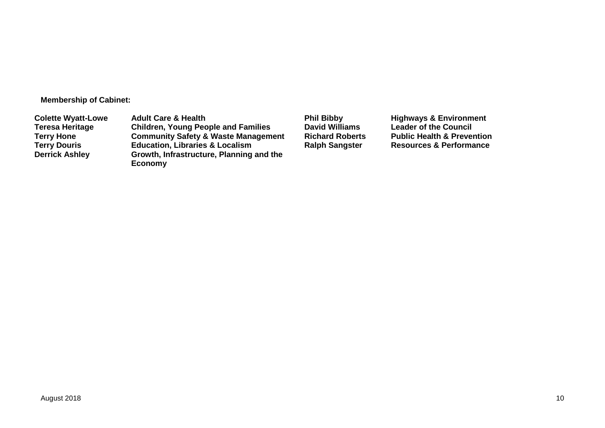**Membership of Cabinet:**

**Colette Wyatt-Lowe** Adult Care & Health **Phil Bibby** Phil Bibby Highways & Environment<br>
Teresa Heritage Children, Young People and Families David Williams Leader of the Council **Teresa Heritage Children, Young People and Families David Williams Leader of the Council Terry Hone <b>Community Safety & Waste Management**<br> **Terry Douris Realth Beaudation**, Libraries & Localism **Terry 2015 Education, Libraries & Localism <b>Ralph Sangster Resources & Performance Derrick Ashley Growth, Infrastructure, Planning and the Economy**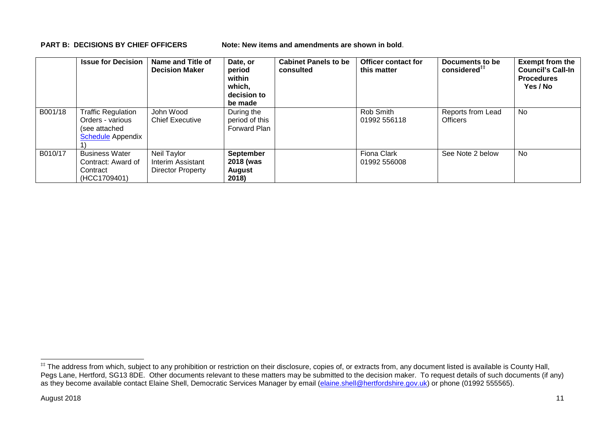**PART B: DECISIONS BY CHIEF OFFICERS Note: New items and amendments are shown in bold.** 

|         | <b>Issue for Decision</b>                                                                  | Name and Title of<br><b>Decision Maker</b>            | Date, or<br>period<br>within<br>which,<br>decision to<br>be made | <b>Cabinet Panels to be</b><br>consulted | <b>Officer contact for</b><br>this matter | Documents to be<br>considered <sup>##</sup> | <b>Exempt from the</b><br><b>Council's Call-In</b><br><b>Procedures</b><br>Yes / No |
|---------|--------------------------------------------------------------------------------------------|-------------------------------------------------------|------------------------------------------------------------------|------------------------------------------|-------------------------------------------|---------------------------------------------|-------------------------------------------------------------------------------------|
| B001/18 | <b>Traffic Regulation</b><br>Orders - various<br>(see attached<br><b>Schedule</b> Appendix | John Wood<br><b>Chief Executive</b>                   | During the<br>period of this<br>Forward Plan                     |                                          | Rob Smith<br>01992 556118                 | Reports from Lead<br>Officers               | No                                                                                  |
| B010/17 | <b>Business Water</b><br>Contract: Award of<br>Contract<br>(HCC1709401)                    | Neil Taylor<br>Interim Assistant<br>Director Property | <b>September</b><br>2018 (was<br>August<br>2018)                 |                                          | <b>Fiona Clark</b><br>01992 556008        | See Note 2 below                            | No                                                                                  |

<sup>#</sup> The address from which, subject to any prohibition or restriction on their disclosure, copies of, or extracts from, any document listed is available is County Hall, Pegs Lane, Hertford, SG13 8DE. Other documents relevant to these matters may be submitted to the decision maker. To request details of such documents (if any) as they become available contact Elaine Shell, Democratic Services Manager by email (elaine.shell@hertfordshire.gov.uk) or phone (01992 55565).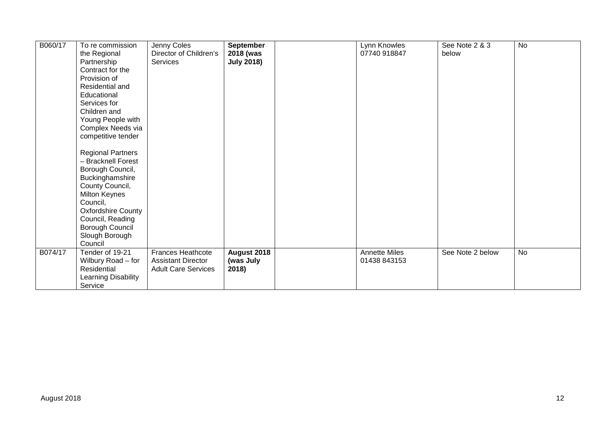| B060/17 | To re commission         | Jenny Coles                | September         | Lynn Knowles         | See Note 2 & 3   | <b>No</b> |
|---------|--------------------------|----------------------------|-------------------|----------------------|------------------|-----------|
|         | the Regional             | Director of Children's     | 2018 (was         | 07740 918847         | below            |           |
|         | Partnership              | <b>Services</b>            | <b>July 2018)</b> |                      |                  |           |
|         | Contract for the         |                            |                   |                      |                  |           |
|         | Provision of             |                            |                   |                      |                  |           |
|         | Residential and          |                            |                   |                      |                  |           |
|         | Educational              |                            |                   |                      |                  |           |
|         | Services for             |                            |                   |                      |                  |           |
|         | Children and             |                            |                   |                      |                  |           |
|         | Young People with        |                            |                   |                      |                  |           |
|         | Complex Needs via        |                            |                   |                      |                  |           |
|         | competitive tender       |                            |                   |                      |                  |           |
|         |                          |                            |                   |                      |                  |           |
|         | <b>Regional Partners</b> |                            |                   |                      |                  |           |
|         | - Bracknell Forest       |                            |                   |                      |                  |           |
|         | Borough Council,         |                            |                   |                      |                  |           |
|         | Buckinghamshire          |                            |                   |                      |                  |           |
|         | County Council,          |                            |                   |                      |                  |           |
|         | <b>Milton Keynes</b>     |                            |                   |                      |                  |           |
|         | Council,                 |                            |                   |                      |                  |           |
|         | Oxfordshire County       |                            |                   |                      |                  |           |
|         | Council, Reading         |                            |                   |                      |                  |           |
|         | Borough Council          |                            |                   |                      |                  |           |
|         | Slough Borough           |                            |                   |                      |                  |           |
|         | Council                  |                            |                   |                      |                  |           |
| B074/17 | Tender of 19-21          | Frances Heathcote          | August 2018       | <b>Annette Miles</b> | See Note 2 below | <b>No</b> |
|         | Wilbury Road - for       | <b>Assistant Director</b>  | (was July         | 01438 843153         |                  |           |
|         | Residential              | <b>Adult Care Services</b> | 2018)             |                      |                  |           |
|         | Learning Disability      |                            |                   |                      |                  |           |
|         | Service                  |                            |                   |                      |                  |           |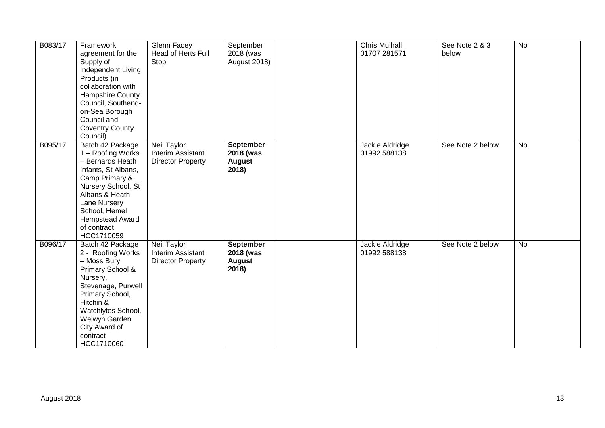| B083/17 | Framework<br>agreement for the<br>Supply of<br>Independent Living<br>Products (in<br>collaboration with<br><b>Hampshire County</b><br>Council, Southend-<br>on-Sea Borough<br>Council and<br><b>Coventry County</b><br>Council)    | Glenn Facey<br>Head of Herts Full<br>Stop                           | September<br>2018 (was<br>August 2018)                  | <b>Chris Mulhall</b><br>01707 281571 | See Note 2 & 3<br>below | <b>No</b> |
|---------|------------------------------------------------------------------------------------------------------------------------------------------------------------------------------------------------------------------------------------|---------------------------------------------------------------------|---------------------------------------------------------|--------------------------------------|-------------------------|-----------|
| B095/17 | Batch 42 Package<br>1 - Roofing Works<br>- Bernards Heath<br>Infants, St Albans,<br>Camp Primary &<br>Nursery School, St<br>Albans & Heath<br>Lane Nursery<br>School, Hemel<br><b>Hempstead Award</b><br>of contract<br>HCC1710059 | Neil Taylor<br>Interim Assistant<br><b>Director Property</b>        | September<br>2018 (was<br><b>August</b><br>2018)        | Jackie Aldridge<br>01992 588138      | See Note 2 below        | <b>No</b> |
| B096/17 | Batch 42 Package<br>2 - Roofing Works<br>- Moss Bury<br>Primary School &<br>Nursery,<br>Stevenage, Purwell<br>Primary School,<br>Hitchin &<br>Watchlytes School,<br>Welwyn Garden<br>City Award of<br>contract<br>HCC1710060       | <b>Neil Taylor</b><br>Interim Assistant<br><b>Director Property</b> | <b>September</b><br>2018 (was<br><b>August</b><br>2018) | Jackie Aldridge<br>01992 588138      | See Note 2 below        | <b>No</b> |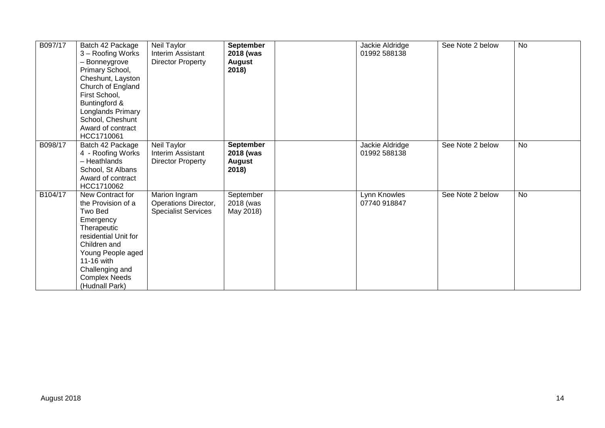| B097/17 | Batch 42 Package<br>3 - Roofing Works<br>- Bonneygrove<br>Primary School,<br>Cheshunt, Layston<br>Church of England<br>First School,<br>Buntingford &<br>Longlands Primary<br>School, Cheshunt<br>Award of contract<br>HCC1710061 | Neil Taylor<br>Interim Assistant<br>Director Property               | September<br>2018 (was<br><b>August</b><br>2018)        | Jackie Aldridge<br>01992 588138 | See Note 2 below | <b>No</b> |
|---------|-----------------------------------------------------------------------------------------------------------------------------------------------------------------------------------------------------------------------------------|---------------------------------------------------------------------|---------------------------------------------------------|---------------------------------|------------------|-----------|
| B098/17 | Batch 42 Package<br>4 - Roofing Works<br>- Heathlands<br>School, St Albans<br>Award of contract<br>HCC1710062                                                                                                                     | Neil Taylor<br>Interim Assistant<br><b>Director Property</b>        | <b>September</b><br>2018 (was<br><b>August</b><br>2018) | Jackie Aldridge<br>01992 588138 | See Note 2 below | <b>No</b> |
| B104/17 | New Contract for<br>the Provision of a<br>Two Bed<br>Emergency<br>Therapeutic<br>residential Unit for<br>Children and<br>Young People aged<br>11-16 with<br>Challenging and<br><b>Complex Needs</b><br>(Hudnall Park)             | Marion Ingram<br>Operations Director,<br><b>Specialist Services</b> | September<br>2018 (was<br>May 2018)                     | Lynn Knowles<br>07740 918847    | See Note 2 below | <b>No</b> |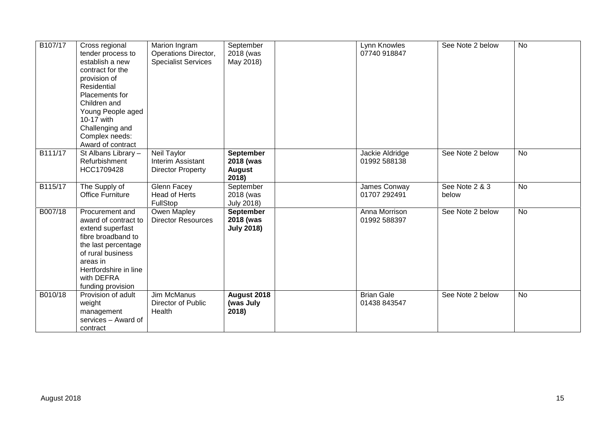| B <sub>107</sub> /17 | Cross regional<br>tender process to<br>establish a new<br>contract for the<br>provision of<br>Residential<br>Placements for<br>Children and<br>Young People aged<br>10-17 with<br>Challenging and<br>Complex needs:<br>Award of contract | Marion Ingram<br>Operations Director,<br><b>Specialist Services</b> | September<br>2018 (was<br>May 2018)              | Lynn Knowles<br>07740 918847      | See Note 2 below        | <b>No</b> |
|----------------------|------------------------------------------------------------------------------------------------------------------------------------------------------------------------------------------------------------------------------------------|---------------------------------------------------------------------|--------------------------------------------------|-----------------------------------|-------------------------|-----------|
| B111/17              | $\overline{St}$ Albans Library -<br>Refurbishment<br>HCC1709428                                                                                                                                                                          | Neil Taylor<br>Interim Assistant<br><b>Director Property</b>        | September<br>2018 (was<br><b>August</b><br>2018) | Jackie Aldridge<br>01992 588138   | See Note 2 below        | <b>No</b> |
| B115/17              | The Supply of<br><b>Office Furniture</b>                                                                                                                                                                                                 | Glenn Facey<br>Head of Herts<br>FullStop                            | September<br>2018 (was<br><b>July 2018)</b>      | James Conway<br>01707 292491      | See Note 2 & 3<br>below | <b>No</b> |
| B007/18              | Procurement and<br>award of contract to<br>extend superfast<br>fibre broadband to<br>the last percentage<br>of rural business<br>areas in<br>Hertfordshire in line<br>with DEFRA<br>funding provision                                    | Owen Mapley<br><b>Director Resources</b>                            | September<br>2018 (was<br><b>July 2018)</b>      | Anna Morrison<br>01992 588397     | See Note 2 below        | <b>No</b> |
| B010/18              | Provision of adult<br>weight<br>management<br>services - Award of<br>contract                                                                                                                                                            | Jim McManus<br>Director of Public<br>Health                         | August 2018<br>(was July<br>2018)                | <b>Brian Gale</b><br>01438 843547 | See Note 2 below        | <b>No</b> |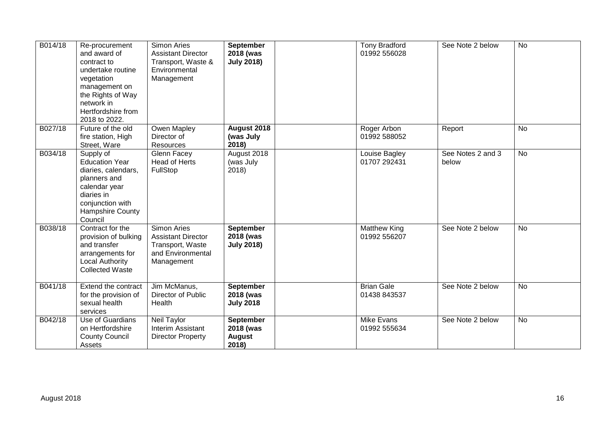| B014/18 | Re-procurement<br>and award of<br>contract to<br>undertake routine<br>vegetation<br>management on<br>the Rights of Way<br>network in<br>Hertfordshire from<br>2018 to 2022. | <b>Simon Aries</b><br><b>Assistant Director</b><br>Transport, Waste &<br>Environmental<br>Management | <b>September</b><br>2018 (was<br><b>July 2018)</b> | <b>Tony Bradford</b><br>01992 556028 | See Note 2 below           | <b>No</b> |
|---------|-----------------------------------------------------------------------------------------------------------------------------------------------------------------------------|------------------------------------------------------------------------------------------------------|----------------------------------------------------|--------------------------------------|----------------------------|-----------|
| B027/18 | Future of the old<br>fire station, High<br>Street, Ware                                                                                                                     | Owen Mapley<br>Director of<br>Resources                                                              | August 2018<br>(was July<br>2018)                  | Roger Arbon<br>01992 588052          | Report                     | <b>No</b> |
| B034/18 | Supply of<br><b>Education Year</b><br>diaries, calendars,<br>planners and<br>calendar year<br>diaries in<br>conjunction with<br>Hampshire County<br>Council                 | Glenn Facey<br><b>Head of Herts</b><br>FullStop                                                      | August 2018<br>(was July<br>2018)                  | Louise Bagley<br>01707 292431        | See Notes 2 and 3<br>below | <b>No</b> |
| B038/18 | Contract for the<br>provision of bulking<br>and transfer<br>arrangements for<br><b>Local Authority</b><br><b>Collected Waste</b>                                            | Simon Aries<br><b>Assistant Director</b><br>Transport, Waste<br>and Environmental<br>Management      | September<br>2018 (was<br><b>July 2018)</b>        | <b>Matthew King</b><br>01992 556207  | See Note 2 below           | <b>No</b> |
| B041/18 | Extend the contract<br>for the provision of<br>sexual health<br>services                                                                                                    | Jim McManus,<br>Director of Public<br>Health                                                         | September<br>2018 (was<br><b>July 2018</b>         | <b>Brian Gale</b><br>01438 843537    | See Note 2 below           | No        |
| B042/18 | Use of Guardians<br>on Hertfordshire<br><b>County Council</b><br>Assets                                                                                                     | Neil Taylor<br>Interim Assistant<br><b>Director Property</b>                                         | September<br>2018 (was<br><b>August</b><br>2018)   | Mike Evans<br>01992 555634           | See Note 2 below           | <b>No</b> |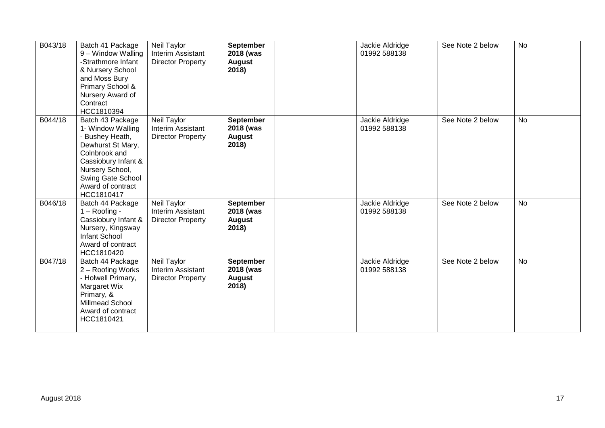| B043/18 | Batch 41 Package<br>9 - Window Walling<br>-Strathmore Infant<br>& Nursery School<br>and Moss Bury<br>Primary School &<br>Nursery Award of<br>Contract<br>HCC1810394                              | Neil Taylor<br>Interim Assistant<br><b>Director Property</b> | September<br>2018 (was<br><b>August</b><br>2018)        | Jackie Aldridge<br>01992 588138 | See Note 2 below | <b>No</b> |
|---------|--------------------------------------------------------------------------------------------------------------------------------------------------------------------------------------------------|--------------------------------------------------------------|---------------------------------------------------------|---------------------------------|------------------|-----------|
| B044/18 | Batch 43 Package<br>1- Window Walling<br>- Bushey Heath,<br>Dewhurst St Mary,<br>Colnbrook and<br>Cassiobury Infant &<br>Nursery School,<br>Swing Gate School<br>Award of contract<br>HCC1810417 | Neil Taylor<br>Interim Assistant<br><b>Director Property</b> | <b>September</b><br>2018 (was<br><b>August</b><br>2018) | Jackie Aldridge<br>01992 588138 | See Note 2 below | <b>No</b> |
| B046/18 | Batch 44 Package<br>$1 -$ Roofing -<br>Cassiobury Infant &<br>Nursery, Kingsway<br>Infant School<br>Award of contract<br>HCC1810420                                                              | Neil Taylor<br>Interim Assistant<br><b>Director Property</b> | September<br>2018 (was<br><b>August</b><br>2018)        | Jackie Aldridge<br>01992 588138 | See Note 2 below | <b>No</b> |
| B047/18 | Batch 44 Package<br>2 - Roofing Works<br>- Holwell Primary,<br>Margaret Wix<br>Primary, &<br>Millmead School<br>Award of contract<br>HCC1810421                                                  | Neil Taylor<br>Interim Assistant<br><b>Director Property</b> | September<br>2018 (was<br><b>August</b><br>2018)        | Jackie Aldridge<br>01992 588138 | See Note 2 below | <b>No</b> |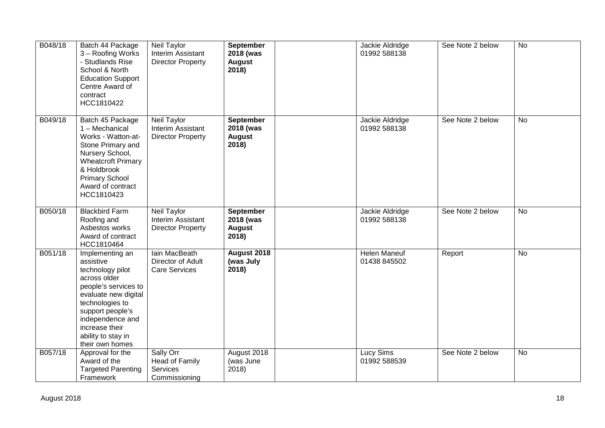| B048/18 | Batch 44 Package<br>3 - Roofing Works<br>- Studlands Rise<br>School & North<br><b>Education Support</b><br>Centre Award of<br>contract<br>HCC1810422                                                                                   | Neil Taylor<br>Interim Assistant<br><b>Director Property</b> | September<br>2018 (was<br><b>August</b><br>2018) | Jackie Aldridge<br>01992 588138     | See Note 2 below | $\overline{N}$ |
|---------|----------------------------------------------------------------------------------------------------------------------------------------------------------------------------------------------------------------------------------------|--------------------------------------------------------------|--------------------------------------------------|-------------------------------------|------------------|----------------|
| B049/18 | Batch 45 Package<br>1 - Mechanical<br>Works - Watton-at-<br>Stone Primary and<br>Nursery School,<br><b>Wheatcroft Primary</b><br>& Holdbrook<br><b>Primary School</b><br>Award of contract<br>HCC1810423                               | Neil Taylor<br>Interim Assistant<br><b>Director Property</b> | September<br>2018 (was<br><b>August</b><br>2018) | Jackie Aldridge<br>01992 588138     | See Note 2 below | <b>No</b>      |
| B050/18 | <b>Blackbird Farm</b><br>Roofing and<br>Asbestos works<br>Award of contract<br>HCC1810464                                                                                                                                              | Neil Taylor<br>Interim Assistant<br><b>Director Property</b> | September<br>2018 (was<br><b>August</b><br>2018) | Jackie Aldridge<br>01992 588138     | See Note 2 below | <b>No</b>      |
| B051/18 | Implementing an<br>assistive<br>technology pilot<br>across older<br>people's services to<br>evaluate new digital<br>technologies to<br>support people's<br>independence and<br>increase their<br>ability to stay in<br>their own homes | lain MacBeath<br>Director of Adult<br><b>Care Services</b>   | August 2018<br>(was July<br>2018)                | <b>Helen Maneuf</b><br>01438 845502 | Report           | $\overline{N}$ |
| B057/18 | Approval for the<br>Award of the<br><b>Targeted Parenting</b><br>Framework                                                                                                                                                             | Sally Orr<br>Head of Family<br>Services<br>Commissioning     | August 2018<br>(was June<br>2018)                | Lucy Sims<br>01992 588539           | See Note 2 below | <b>No</b>      |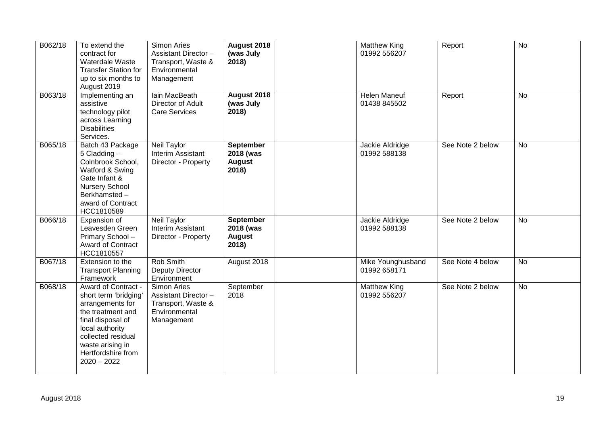| B062/18 | To extend the<br>contract for<br>Waterdale Waste<br><b>Transfer Station for</b><br>up to six months to<br>August 2019                                                                                          | <b>Simon Aries</b><br>Assistant Director -<br>Transport, Waste &<br>Environmental<br>Management | August 2018<br>(was July<br>2018)                       | <b>Matthew King</b><br>01992 556207 | Report           | <b>No</b> |
|---------|----------------------------------------------------------------------------------------------------------------------------------------------------------------------------------------------------------------|-------------------------------------------------------------------------------------------------|---------------------------------------------------------|-------------------------------------|------------------|-----------|
| B063/18 | Implementing an<br>assistive<br>technology pilot<br>across Learning<br><b>Disabilities</b><br>Services.                                                                                                        | lain MacBeath<br>Director of Adult<br><b>Care Services</b>                                      | August 2018<br>(was July<br>2018)                       | <b>Helen Maneuf</b><br>01438 845502 | Report           | <b>No</b> |
| B065/18 | Batch 43 Package<br>$5$ Cladding $-$<br>Colnbrook School,<br>Watford & Swing<br>Gate Infant &<br><b>Nursery School</b><br>Berkhamsted-<br>award of Contract<br>HCC1810589                                      | <b>Neil Taylor</b><br>Interim Assistant<br>Director - Property                                  | <b>September</b><br>2018 (was<br><b>August</b><br>2018) | Jackie Aldridge<br>01992 588138     | See Note 2 below | <b>No</b> |
| B066/18 | Expansion of<br>Leavesden Green<br>Primary School-<br>Award of Contract<br>HCC1810557                                                                                                                          | Neil Taylor<br>Interim Assistant<br>Director - Property                                         | <b>September</b><br>2018 (was<br><b>August</b><br>2018) | Jackie Aldridge<br>01992 588138     | See Note 2 below | <b>No</b> |
| B067/18 | Extension to the<br><b>Transport Planning</b><br>Framework                                                                                                                                                     | Rob Smith<br><b>Deputy Director</b><br>Environment                                              | August 2018                                             | Mike Younghusband<br>01992 658171   | See Note 4 below | <b>No</b> |
| B068/18 | Award of Contract -<br>short term 'bridging'<br>arrangements for<br>the treatment and<br>final disposal of<br>local authority<br>collected residual<br>waste arising in<br>Hertfordshire from<br>$2020 - 2022$ | Simon Aries<br>Assistant Director-<br>Transport, Waste &<br>Environmental<br>Management         | September<br>2018                                       | <b>Matthew King</b><br>01992 556207 | See Note 2 below | <b>No</b> |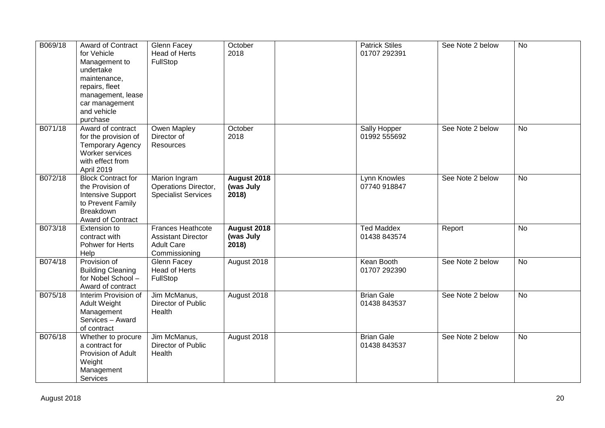| B069/18 | Award of Contract<br>for Vehicle<br>Management to<br>undertake<br>maintenance,<br>repairs, fleet<br>management, lease<br>car management<br>and vehicle<br>purchase | Glenn Facey<br>Head of Herts<br>FullStop                                                    | October<br>2018                   | <b>Patrick Stiles</b><br>01707 292391 | See Note 2 below | <b>No</b>      |
|---------|--------------------------------------------------------------------------------------------------------------------------------------------------------------------|---------------------------------------------------------------------------------------------|-----------------------------------|---------------------------------------|------------------|----------------|
| B071/18 | Award of contract<br>for the provision of<br><b>Temporary Agency</b><br>Worker services<br>with effect from<br>April 2019                                          | Owen Mapley<br>Director of<br><b>Resources</b>                                              | October<br>2018                   | Sally Hopper<br>01992 555692          | See Note 2 below | <b>No</b>      |
| B072/18 | <b>Block Contract for</b><br>the Provision of<br><b>Intensive Support</b><br>to Prevent Family<br><b>Breakdown</b><br><b>Award of Contract</b>                     | Marion Ingram<br>Operations Director,<br><b>Specialist Services</b>                         | August 2018<br>(was July<br>2018) | Lynn Knowles<br>07740 918847          | See Note 2 below | <b>No</b>      |
| B073/18 | Extension to<br>contract with<br>Pohwer for Herts<br>Help                                                                                                          | <b>Frances Heathcote</b><br><b>Assistant Director</b><br><b>Adult Care</b><br>Commissioning | August 2018<br>(was July<br>2018) | <b>Ted Maddex</b><br>01438 843574     | Report           | <b>No</b>      |
| B074/18 | Provision of<br><b>Building Cleaning</b><br>for Nobel School -<br>Award of contract                                                                                | Glenn Facey<br><b>Head of Herts</b><br>FullStop                                             | August 2018                       | Kean Booth<br>01707 292390            | See Note 2 below | $\overline{N}$ |
| B075/18 | Interim Provision of<br>Adult Weight<br>Management<br>Services - Award<br>of contract                                                                              | Jim McManus,<br>Director of Public<br>Health                                                | August 2018                       | <b>Brian Gale</b><br>01438 843537     | See Note 2 below | <b>No</b>      |
| B076/18 | Whether to procure<br>a contract for<br>Provision of Adult<br>Weight<br>Management<br>Services                                                                     | Jim McManus,<br>Director of Public<br>Health                                                | August 2018                       | <b>Brian Gale</b><br>01438 843537     | See Note 2 below | <b>No</b>      |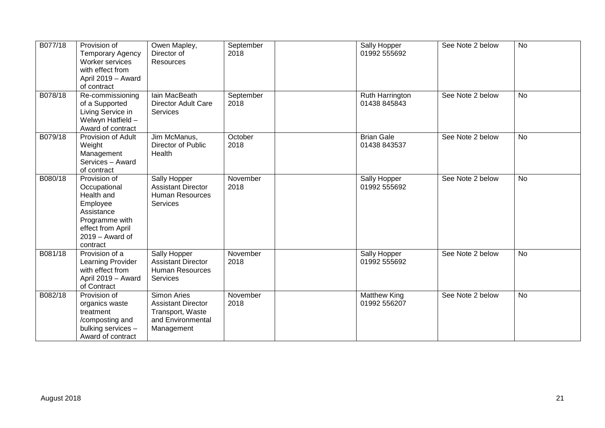| B077/18 | Provision of<br><b>Temporary Agency</b><br>Worker services<br>with effect from<br>April 2019 - Award<br>of contract                          | Owen Mapley,<br>Director of<br>Resources                                                               | September<br>2018 | Sally Hopper<br>01992 555692        | See Note 2 below | <b>No</b> |
|---------|----------------------------------------------------------------------------------------------------------------------------------------------|--------------------------------------------------------------------------------------------------------|-------------------|-------------------------------------|------------------|-----------|
| B078/18 | Re-commissioning<br>of a Supported<br>Living Service in<br>Welwyn Hatfield -<br>Award of contract                                            | Iain MacBeath<br><b>Director Adult Care</b><br>Services                                                | September<br>2018 | Ruth Harrington<br>01438 845843     | See Note 2 below | <b>No</b> |
| B079/18 | Provision of Adult<br>Weight<br>Management<br>Services - Award<br>of contract                                                                | Jim McManus,<br><b>Director of Public</b><br>Health                                                    | October<br>2018   | <b>Brian Gale</b><br>01438 843537   | See Note 2 below | <b>No</b> |
| B080/18 | Provision of<br>Occupational<br>Health and<br>Employee<br>Assistance<br>Programme with<br>effect from April<br>$2019 -$ Award of<br>contract | Sally Hopper<br><b>Assistant Director</b><br><b>Human Resources</b><br>Services                        | November<br>2018  | Sally Hopper<br>01992 555692        | See Note 2 below | <b>No</b> |
| B081/18 | Provision of a<br>Learning Provider<br>with effect from<br>April 2019 - Award<br>of Contract                                                 | Sally Hopper<br><b>Assistant Director</b><br>Human Resources<br><b>Services</b>                        | November<br>2018  | Sally Hopper<br>01992 555692        | See Note 2 below | <b>No</b> |
| B082/18 | Provision of<br>organics waste<br>treatment<br>/composting and<br>bulking services -<br>Award of contract                                    | <b>Simon Aries</b><br><b>Assistant Director</b><br>Transport, Waste<br>and Environmental<br>Management | November<br>2018  | <b>Matthew King</b><br>01992 556207 | See Note 2 below | <b>No</b> |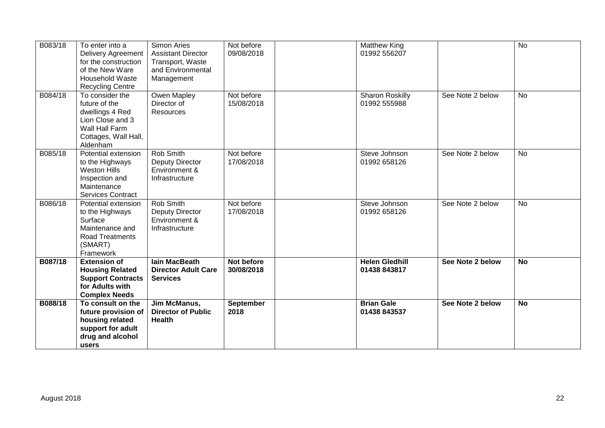| B083/18 | To enter into a<br><b>Delivery Agreement</b><br>for the construction<br>of the New Ware<br><b>Household Waste</b><br><b>Recycling Centre</b> | <b>Simon Aries</b><br><b>Assistant Director</b><br>Transport, Waste<br>and Environmental<br>Management | Not before<br>09/08/2018 | <b>Matthew King</b><br>01992 556207   |                  | <b>No</b> |
|---------|----------------------------------------------------------------------------------------------------------------------------------------------|--------------------------------------------------------------------------------------------------------|--------------------------|---------------------------------------|------------------|-----------|
| B084/18 | To consider the<br>future of the<br>dwellings 4 Red<br>Lion Close and 3<br>Wall Hall Farm<br>Cottages, Wall Hall,<br>Aldenham                | Owen Mapley<br>Director of<br><b>Resources</b>                                                         | Not before<br>15/08/2018 | Sharon Roskilly<br>01992 555988       | See Note 2 below | No        |
| B085/18 | Potential extension<br>to the Highways<br><b>Weston Hills</b><br>Inspection and<br>Maintenance<br>Services Contract                          | Rob Smith<br>Deputy Director<br>Environment &<br>Infrastructure                                        | Not before<br>17/08/2018 | Steve Johnson<br>01992 658126         | See Note 2 below | No        |
| B086/18 | Potential extension<br>to the Highways<br>Surface<br>Maintenance and<br>Road Treatments<br>(SMART)<br>Framework                              | Rob Smith<br>Deputy Director<br>Environment &<br>Infrastructure                                        | Not before<br>17/08/2018 | Steve Johnson<br>01992 658126         | See Note 2 below | <b>No</b> |
| B087/18 | <b>Extension of</b><br><b>Housing Related</b><br><b>Support Contracts</b><br>for Adults with<br><b>Complex Needs</b>                         | <b>lain MacBeath</b><br><b>Director Adult Care</b><br><b>Services</b>                                  | Not before<br>30/08/2018 | <b>Helen Gledhill</b><br>01438 843817 | See Note 2 below | <b>No</b> |
| B088/18 | To consult on the<br>future provision of<br>housing related<br>support for adult<br>drug and alcohol<br>users                                | Jim McManus,<br><b>Director of Public</b><br><b>Health</b>                                             | September<br>2018        | <b>Brian Gale</b><br>01438 843537     | See Note 2 below | <b>No</b> |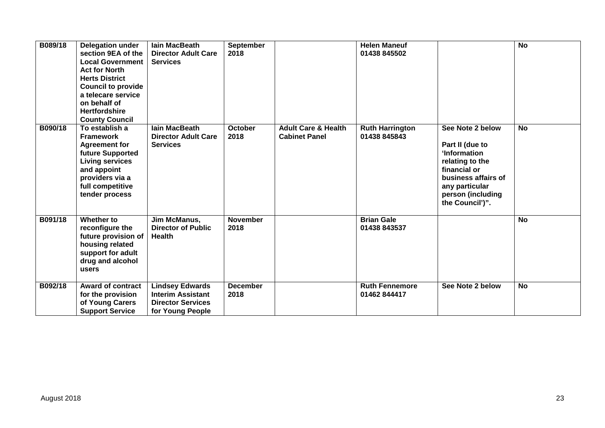| B089/18 | <b>Delegation under</b><br>section 9EA of the<br><b>Local Government</b><br><b>Act for North</b><br><b>Herts District</b><br><b>Council to provide</b><br>a telecare service<br>on behalf of<br><b>Hertfordshire</b><br><b>County Council</b> | lain MacBeath<br><b>Director Adult Care</b><br><b>Services</b>                                     | September<br>2018       |                                                        | <b>Helen Maneuf</b><br>01438 845502    |                                                                                                                                                                         | <b>No</b> |
|---------|-----------------------------------------------------------------------------------------------------------------------------------------------------------------------------------------------------------------------------------------------|----------------------------------------------------------------------------------------------------|-------------------------|--------------------------------------------------------|----------------------------------------|-------------------------------------------------------------------------------------------------------------------------------------------------------------------------|-----------|
| B090/18 | To establish a<br><b>Framework</b><br><b>Agreement for</b><br>future Supported<br><b>Living services</b><br>and appoint<br>providers via a<br>full competitive<br>tender process                                                              | <b>lain MacBeath</b><br><b>Director Adult Care</b><br><b>Services</b>                              | <b>October</b><br>2018  | <b>Adult Care &amp; Health</b><br><b>Cabinet Panel</b> | <b>Ruth Harrington</b><br>01438 845843 | See Note 2 below<br>Part II (due to<br>'Information<br>relating to the<br>financial or<br>business affairs of<br>any particular<br>person (including<br>the Council')". | <b>No</b> |
| B091/18 | Whether to<br>reconfigure the<br>future provision of<br>housing related<br>support for adult<br>drug and alcohol<br>users                                                                                                                     | Jim McManus,<br><b>Director of Public</b><br><b>Health</b>                                         | <b>November</b><br>2018 |                                                        | <b>Brian Gale</b><br>01438 843537      |                                                                                                                                                                         | <b>No</b> |
| B092/18 | <b>Award of contract</b><br>for the provision<br>of Young Carers<br><b>Support Service</b>                                                                                                                                                    | <b>Lindsey Edwards</b><br><b>Interim Assistant</b><br><b>Director Services</b><br>for Young People | <b>December</b><br>2018 |                                                        | <b>Ruth Fennemore</b><br>01462844417   | See Note 2 below                                                                                                                                                        | <b>No</b> |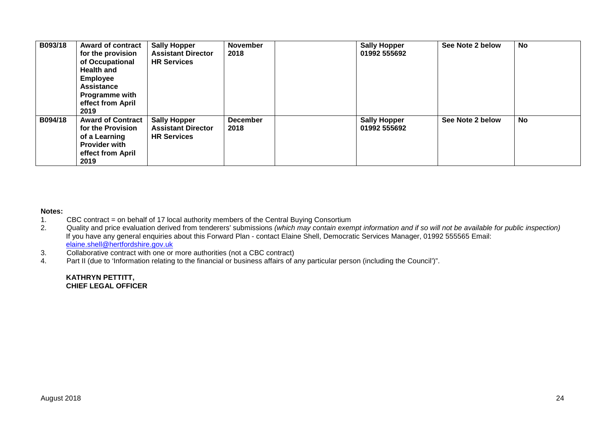| B093/18 | <b>Award of contract</b><br>for the provision<br>of Occupational<br><b>Health and</b><br><b>Employee</b><br><b>Assistance</b><br>Programme with<br>effect from April<br>2019 | <b>Sally Hopper</b><br><b>Assistant Director</b><br><b>HR Services</b> | <b>November</b><br>2018 | <b>Sally Hopper</b><br>01992 555692 | See Note 2 below | No        |
|---------|------------------------------------------------------------------------------------------------------------------------------------------------------------------------------|------------------------------------------------------------------------|-------------------------|-------------------------------------|------------------|-----------|
| B094/18 | <b>Award of Contract</b><br>for the Provision<br>of a Learning<br><b>Provider with</b><br>effect from April<br>2019                                                          | <b>Sally Hopper</b><br><b>Assistant Director</b><br><b>HR Services</b> | <b>December</b><br>2018 | <b>Sally Hopper</b><br>01992 555692 | See Note 2 below | <b>No</b> |

#### **Notes:**

- 1. CBC contract = on behalf of 17 local authority members of the Central Buying Consortium
- 2. Quality and price evaluation derived from tenderers' submissions *(which may contain exempt information and if so will not be available for public inspection)* If you have any general enquiries about this Forward Plan - contact Elaine Shell, Democratic Services Manager, 01992 555565 Email: elaine.shell@hertfordshire.gov.uk
- 3. Collaborative contract with one or more authorities (not a CBC contract)
- 4. Part II (due to 'Information relating to the financial or business affairs of any particular person (including the Council')".

**KATHRYN PETTITT, CHIEF LEGAL OFFICER**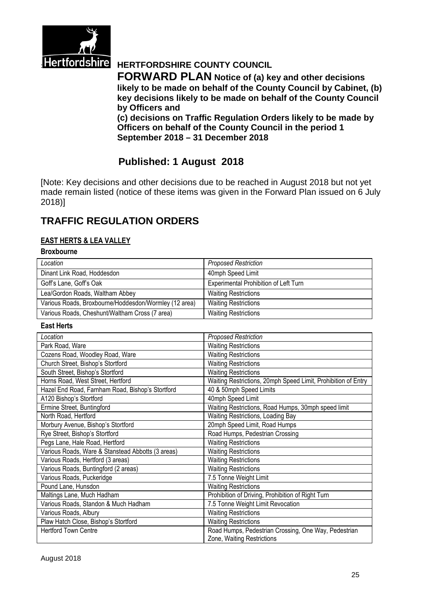

# **Hertfordshire HERTFORDSHIRE COUNTY COUNCIL**

**FORWARD PLAN Notice of (a) key and other decisions likely to be made on behalf of the County Council by Cabinet, (b) key decisions likely to be made on behalf of the County Council by Officers and**

**(c) decisions on Traffic Regulation Orders likely to be made by Officers on behalf of the County Council in the period 1 September 2018 – 31 December 2018**

# **Published: 1 August 2018**

[Note: Key decisions and other decisions due to be reached in August 2018 but not yet made remain listed (notice of these items was given in the Forward Plan issued on 6 July 2018)]

# **TRAFFIC REGULATION ORDERS**

#### **EAST HERTS & LEA VALLEY**

#### **Broxbourne**

| Location                                              | <b>Proposed Restriction</b>           |
|-------------------------------------------------------|---------------------------------------|
| Dinant Link Road, Hoddesdon                           | 40mph Speed Limit                     |
| Goff's Lane, Goff's Oak                               | Experimental Prohibition of Left Turn |
| Lea/Gordon Roads, Waltham Abbey                       | <b>Waiting Restrictions</b>           |
| Various Roads, Broxbourne/Hoddesdon/Wormley (12 area) | <b>Waiting Restrictions</b>           |
| Various Roads, Cheshunt/Waltham Cross (7 area)        | <b>Waiting Restrictions</b>           |

#### **East Herts**

| Location                                          | <b>Proposed Restriction</b>                                   |
|---------------------------------------------------|---------------------------------------------------------------|
| Park Road, Ware                                   | <b>Waiting Restrictions</b>                                   |
| Cozens Road, Woodley Road, Ware                   | <b>Waiting Restrictions</b>                                   |
| Church Street, Bishop's Stortford                 | <b>Waiting Restrictions</b>                                   |
| South Street, Bishop's Stortford                  | <b>Waiting Restrictions</b>                                   |
| Horns Road, West Street, Hertford                 | Waiting Restrictions, 20mph Speed Limit, Prohibition of Entry |
| Hazel End Road, Farnham Road, Bishop's Stortford  | 40 & 50mph Speed Limits                                       |
| A120 Bishop's Stortford                           | 40mph Speed Limit                                             |
| Ermine Street, Buntingford                        | Waiting Restrictions, Road Humps, 30mph speed limit           |
| North Road, Hertford                              | Waiting Restrictions, Loading Bay                             |
| Morbury Avenue, Bishop's Stortford                | 20mph Speed Limit, Road Humps                                 |
| Rye Street, Bishop's Stortford                    | Road Humps, Pedestrian Crossing                               |
| Pegs Lane, Hale Road, Hertford                    | <b>Waiting Restrictions</b>                                   |
| Various Roads, Ware & Stanstead Abbotts (3 areas) | <b>Waiting Restrictions</b>                                   |
| Various Roads, Hertford (3 areas)                 | Waiting Restrictions                                          |
| Various Roads, Buntingford (2 areas)              | <b>Waiting Restrictions</b>                                   |
| Various Roads, Puckeridge                         | 7.5 Tonne Weight Limit                                        |
| Pound Lane, Hunsdon                               | <b>Waiting Restrictions</b>                                   |
| Maltings Lane, Much Hadham                        | Prohibition of Driving, Prohibition of Right Turn             |
| Various Roads, Standon & Much Hadham              | 7.5 Tonne Weight Limit Revocation                             |
| Various Roads, Albury                             | <b>Waiting Restrictions</b>                                   |
| Plaw Hatch Close, Bishop's Stortford              | <b>Waiting Restrictions</b>                                   |
| <b>Hertford Town Centre</b>                       | Road Humps, Pedestrian Crossing, One Way, Pedestrian          |
|                                                   | Zone, Waiting Restrictions                                    |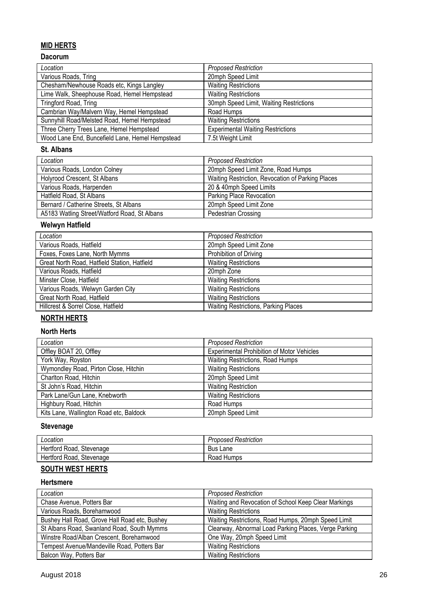## **MID HERTS**

### **Dacorum**

| Location                                        | <b>Proposed Restriction</b>              |
|-------------------------------------------------|------------------------------------------|
| Various Roads, Tring                            | 20mph Speed Limit                        |
| Chesham/Newhouse Roads etc, Kings Langley       | <b>Waiting Restrictions</b>              |
| Lime Walk, Sheephouse Road, Hemel Hempstead     | <b>Waiting Restrictions</b>              |
| Tringford Road, Tring                           | 30mph Speed Limit, Waiting Restrictions  |
| Cambrian Way/Malvern Way, Hemel Hempstead       | Road Humps                               |
| Sunnyhill Road/Melsted Road, Hemel Hempstead    | <b>Waiting Restrictions</b>              |
| Three Cherry Trees Lane, Hemel Hempstead        | <b>Experimental Waiting Restrictions</b> |
| Wood Lane End, Buncefield Lane, Hemel Hempstead | 7.5t Weight Limit                        |

#### **St. Albans**

| Location                                     | <b>Proposed Restriction</b>                       |
|----------------------------------------------|---------------------------------------------------|
| Various Roads, London Colney                 | 20mph Speed Limit Zone, Road Humps                |
| Holyrood Crescent, St Albans                 | Waiting Restriction, Revocation of Parking Places |
| Various Roads, Harpenden                     | 20 & 40mph Speed Limits                           |
| Hatfield Road, St Albans                     | Parking Place Revocation                          |
| Bernard / Catherine Streets, St Albans       | 20mph Speed Limit Zone                            |
| A5183 Watling Street/Watford Road, St Albans | Pedestrian Crossing                               |

### **Welwyn Hatfield**

| Location                                     | <b>Proposed Restriction</b>                 |
|----------------------------------------------|---------------------------------------------|
| Various Roads, Hatfield                      | 20mph Speed Limit Zone                      |
| Foxes, Foxes Lane, North Mymms               | Prohibition of Driving                      |
| Great North Road, Hatfield Station, Hatfield | <b>Waiting Restrictions</b>                 |
| Various Roads, Hatfield                      | 20mph Zone                                  |
| Minster Close, Hatfield                      | <b>Waiting Restrictions</b>                 |
| Various Roads, Welwyn Garden City            | <b>Waiting Restrictions</b>                 |
| Great North Road, Hatfield                   | <b>Waiting Restrictions</b>                 |
| Hillcrest & Sorrel Close, Hatfield           | <b>Waiting Restrictions, Parking Places</b> |

# **NORTH HERTS**

### **North Herts**

| Location                                | <b>Proposed Restriction</b>                       |
|-----------------------------------------|---------------------------------------------------|
| Offley BOAT 20, Offley                  | <b>Experimental Prohibition of Motor Vehicles</b> |
| York Way, Royston                       | Waiting Restrictions, Road Humps                  |
| Wymondley Road, Pirton Close, Hitchin   | <b>Waiting Restrictions</b>                       |
| Charlton Road, Hitchin                  | 20mph Speed Limit                                 |
| St John's Road, Hitchin                 | <b>Waiting Restriction</b>                        |
| Park Lane/Gun Lane, Knebworth           | <b>Waiting Restrictions</b>                       |
| Highbury Road, Hitchin                  | Road Humps                                        |
| Kits Lane, Wallington Road etc, Baldock | 20mph Speed Limit                                 |

# **Stevenage**

| Location                 | <b>Proposed Restriction</b> |
|--------------------------|-----------------------------|
| Hertford Road, Stevenage | <b>Bus Lane</b>             |
| Hertford Road, Stevenage | Road Humps                  |

# **SOUTH WEST HERTS**

#### **Hertsmere**

| Location                                      | <b>Proposed Restriction</b>                           |
|-----------------------------------------------|-------------------------------------------------------|
| Chase Avenue, Potters Bar                     | Waiting and Revocation of School Keep Clear Markings  |
| Various Roads, Borehamwood                    | <b>Waiting Restrictions</b>                           |
| Bushey Hall Road, Grove Hall Road etc, Bushey | Waiting Restrictions, Road Humps, 20mph Speed Limit   |
| St Albans Road, Swanland Road, South Mymms    | Clearway, Abnormal Load Parking Places, Verge Parking |
| Winstre Road/Alban Crescent, Borehamwood      | One Way, 20mph Speed Limit                            |
| Tempest Avenue/Mandeville Road, Potters Bar   | <b>Waiting Restrictions</b>                           |
| Balcon Way, Potters Bar                       | <b>Waiting Restrictions</b>                           |